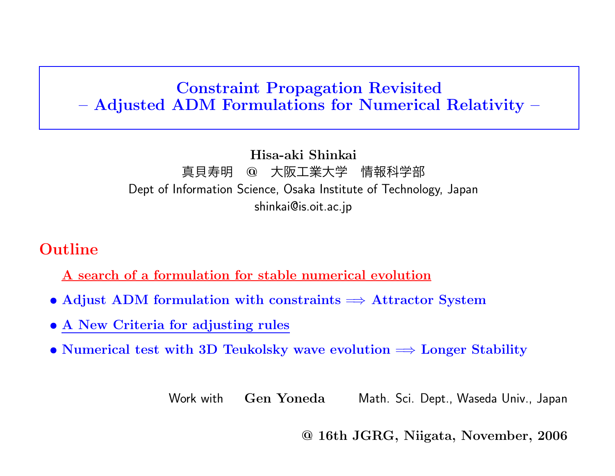# Constraint Propagation Revisited – Adjusted ADM Formulations for Numerical Relativity –

#### Hisa-aki Shinkai 真貝寿明 @ 大阪工業大学 情報科学部 Dept of Information Science, Osaka Institute of Technology, Japan shinkai@is.oit.ac.jp

# Outline

A search of <sup>a</sup> formulation for stable numerical evolution

- Adjust ADM formulation with constraints  $\Rightarrow$  Attractor System
- A New Criteria for adjusting rules
- Numerical test with 3D Teukolsky wave evolution  $\Rightarrow$  Longer Stability

Work with Gen Yoneda Math. Sci. Dept., Waseda Univ., Japan

@ 16th JGRG, Niigata, November, 2006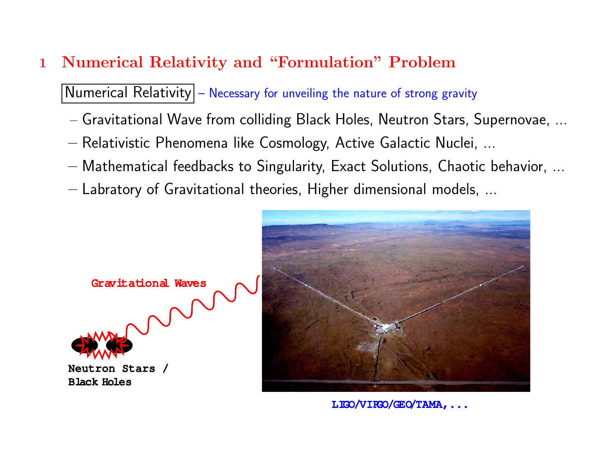# <sup>1</sup> Numerical Relativity and "Formulation" Problem

 $\vert$  Numerical Relativity $\vert$  – Necessary for unveiling the nature of strong gravity

- Gravitational Wave from colliding Black Holes, Neutron Stars, Supernovae, ...
- Relativistic Phenomena like Cosmology, Active Galactic Nuclei, ...
- Mathematical feedbacks to Singularity, Exact Solutions, Chaotic behavior, ...
- Labratory of Gravitational theories, Higher dimensional models, ...





LIGO/VIRGO/GEO/TAMA, ...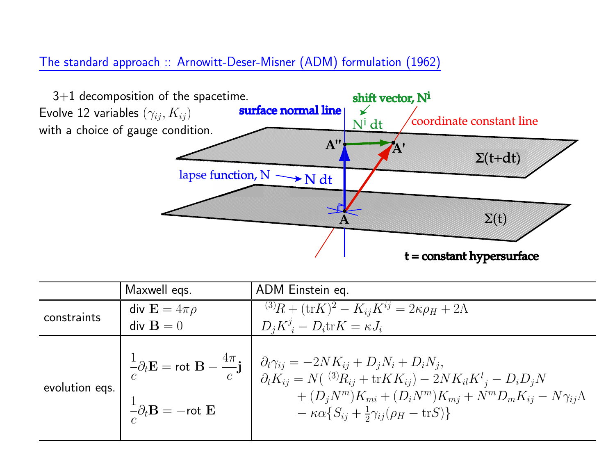### The standard approac<sup>h</sup> :: Arnowitt-Deser-Misner (ADM) formulation (1962)



|                | Maxwell egs.                                                    | ADM Einstein eq.                                                                                                                                                                                                                                                                                                                                                                                                                                |
|----------------|-----------------------------------------------------------------|-------------------------------------------------------------------------------------------------------------------------------------------------------------------------------------------------------------------------------------------------------------------------------------------------------------------------------------------------------------------------------------------------------------------------------------------------|
| constraints    | div $\mathbf{E} = 4\pi\rho$                                     | $\overline{^{(3)}R + (\text{tr}K)^2} - K_{ij}K^{ij} = 2\kappa\rho_H + 2\Lambda$                                                                                                                                                                                                                                                                                                                                                                 |
|                | $div \mathbf{B} = 0$                                            | $D_i K^j_i - D_i \text{tr} K = \kappa J_i$                                                                                                                                                                                                                                                                                                                                                                                                      |
| evolution eqs. | $-\frac{1}{c}\partial_t \mathbf{B} = -\mathsf{rot}\ \mathbf{E}$ | $\frac{1}{c}\partial_t \mathbf{E} = \text{rot } \mathbf{B} - \frac{4\pi}{c}\mathbf{j} \ \left  \begin{array}{l} \partial_t \gamma_{ij} = -2 N K_{ij} + D_j N_i + D_i N_j, \\ \partial_t K_{ij} = N(\ ^{(3)}R_{ij} + \text{tr} K K_{ij}) - 2 N K_{il} K^l{}_j - D_i D_j N \end{array} \right.$<br>$+(D_iN^m)K_{mi}+(D_iN^m)K_{mi}+N^mD_mK_{ij}-N\gamma_{ij}\Lambda$<br>$-\kappa\alpha \{S_{ij} + \frac{1}{2}\gamma_{ij}(\rho_H - \text{tr}S)\}\$ |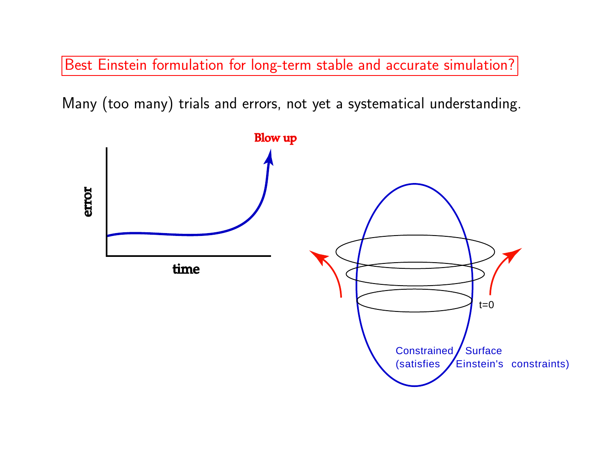Best Einstein formulation for long-term stable and accurate simulation?

Many (too many) trials and errors, not ye<sup>t</sup> <sup>a</sup> systematical understanding.

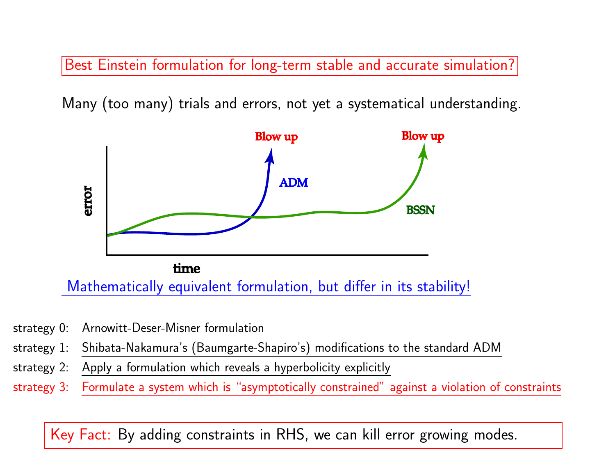Best Einstein formulation for long-term stable and accurate simulation?

Many (too many) trials and errors, not ye<sup>t</sup> <sup>a</sup> systematical understanding.



- strategy 0: Arnowitt-Deser-Misner formulation
- strategy 1: Shibata-Nakamura's (Baumgarte-Shapiro's) modifications to the standard ADM
- strategy 2: Apply <sup>a</sup> formulation which reveals <sup>a</sup> hyperbolicity explicitly
- strategy 3: Formulate <sup>a</sup> system which is "asymptotically constrained" against <sup>a</sup> violation of constraints

Key Fact: By adding constraints in RHS, we can kill error growing modes.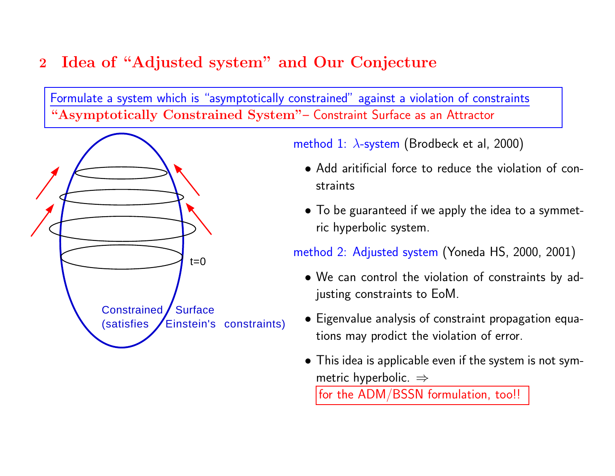# <sup>2</sup> Idea of "Adjusted system" and Our Conjecture

Formulate <sup>a</sup> system which is "asymptotically constrained" against <sup>a</sup> violation of constraints "Asymptotically Constrained System"– Constraint Surface as an Attractor



method 1:  $\lambda$ -system (Brodbeck et al, 2000)

- Add aritificial force to reduce the violation of constraints
- To be guaranteed if we apply the idea to <sup>a</sup> symmetric hyperbolic system.

method 2: Adjusted system (Yoneda HS, 2000, 2001)

- We can control the violation of constraints by adjusting constraints to EoM.
- Eigenvalue analysis of constraint propagation equations may prodict the violation of error.
- This idea is applicable even if the system is not symmetric hyperbolic.  $\Rightarrow$

for the ADM/BSSN formulation, too!!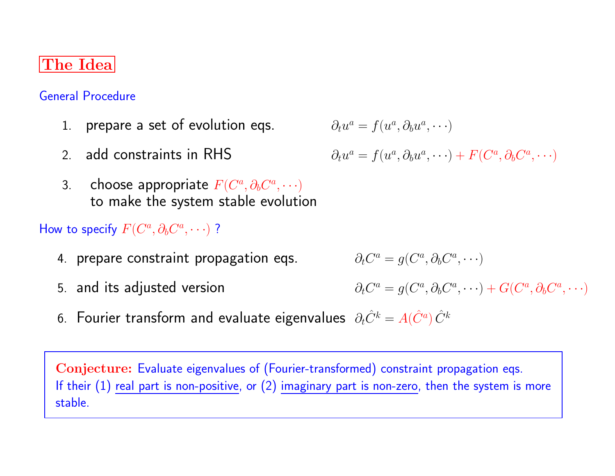## The Idea

General Procedure

- 1. prepare a set of evolution eqs.  $\partial_t u^a = f(u^a, \partial_b u^a, \cdots)$
- 2. add constraints in RHS

$$
\sigma_l \omega, \sigma_l \omega, \sigma_l \omega,
$$

$$
\partial_t u^a = f(u^a, \partial_b u^a, \cdots) + F(C^a, \partial_b C^a, \cdots)
$$

3. choose appropriate  $F(C^a, \partial_b C^a, \cdots)$ to make the system stable evolution

### How to specify  $F(C^a, \partial_b C^a, \cdots)$  ?

- 4. prepare constraint propagation eqs.  $\partial_t C^a = g(C^a, \partial_b C^a, \cdots)$
- 

5. and its adjusted version  $\partial_t C^a = g(C^a, \partial_b C^a, \dots) + G(C^a, \partial_b C^a, \dots)$ 

6. Fourier transform and evaluate eigenvalues  $\partial_t \hat{C}^k = A(\hat{C}^a) \hat{C}^k$ 

Conjecture: Evaluate eigenvalues of (Fourier-transformed) constraint propagation eqs. If their  $(1)$  real part is non-positive, or  $(2)$  imaginary part is non-zero, then the system is more stable.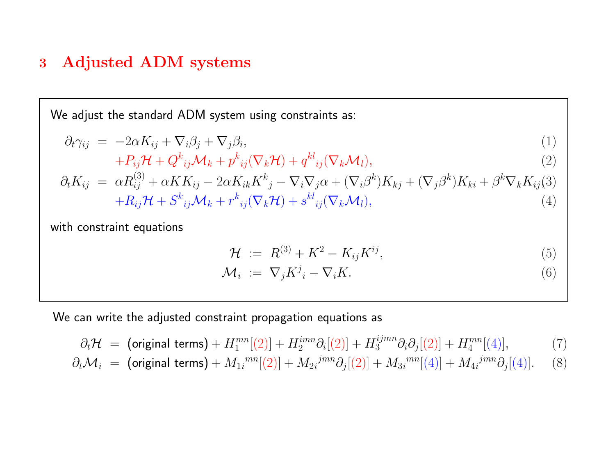## <sup>3</sup> Adjusted ADM systems

We adjust the standard ADM system using constraints as:

$$
\partial_t \gamma_{ij} = -2\alpha K_{ij} + \nabla_i \beta_j + \nabla_j \beta_i,\tag{1}
$$

$$
+P_{ij}\mathcal{H}+Q_{ij}^k\mathcal{M}_k+p_{ij}^k(\nabla_k\mathcal{H})+q_{ij}^k(\nabla_k\mathcal{M}_l),\qquad(2)
$$

$$
\partial_t K_{ij} = \alpha R_{ij}^{(3)} + \alpha K K_{ij} - 2\alpha K_{ik} K^k{}_j - \nabla_i \nabla_j \alpha + (\nabla_i \beta^k) K_{kj} + (\nabla_j \beta^k) K_{ki} + \beta^k \nabla_k K_{ij}^{(3)} + R_{ij} \mathcal{H} + S^k{}_{ij} \mathcal{M}_k + r^k{}_{ij} (\nabla_k \mathcal{H}) + s^{kl}{}_{ij} (\nabla_k \mathcal{M}_l),
$$
\n(4)

with constraint equations

$$
\mathcal{H} := R^{(3)} + K^2 - K_{ij} K^{ij}, \tag{5}
$$

$$
\mathcal{M}_i := \nabla_j K^j_i - \nabla_i K. \tag{6}
$$

We can write the adjusted constraint propagation equations as

$$
\partial_t \mathcal{H} = \text{(original terms)} + H_1^{mn}[(2)] + H_2^{imm} \partial_i[(2)] + H_3^{ijmn} \partial_i \partial_j[(2)] + H_4^{mn}[(4)], \tag{7}
$$

$$
\partial_t \mathcal{M}_i \ = \ \left( \text{original terms} \right) + M_{1i}^{mn} [(2)] + M_{2i}^{jmn} \partial_j [(2)] + M_{3i}^{mn} [(4)] + M_{4i}^{jmn} \partial_j [(4)]. \tag{8}
$$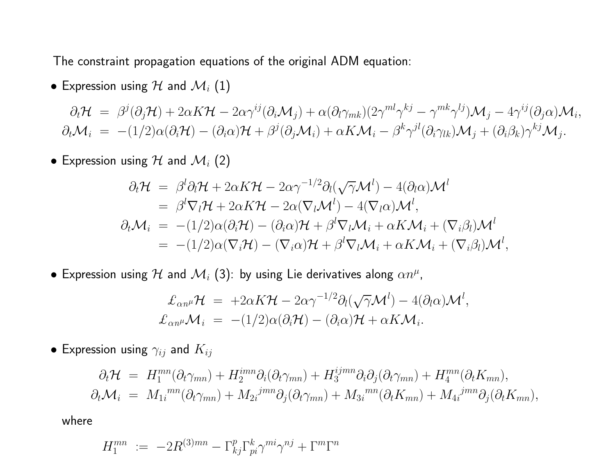The constraint propagation equations of the original ADM equation:

 $\bullet$  Expression using  ${\cal H}$  and  ${\cal M}_i$   $(1)$ 

 $\partial_t \mathcal{H} \;=\; \beta^j (\partial_j \mathcal{H}) + 2 \alpha K \mathcal{H} - 2 \alpha \gamma^{ij} (\partial_i \mathcal{M}_j) + \alpha (\partial_l \gamma_{mk}) (2 \gamma^{ml} \gamma^{kj} - \gamma^{mk} \gamma^{lj}) \mathcal{M}_j$  $- \, 4 \gamma^{ij} (\partial_j \alpha) {\cal M}_i,$  $\partial_t \mathcal{M}_i \;=\; -(1/2) \alpha (\partial_i \mathcal{H}) - (\partial_i \alpha) \mathcal{H} + \beta^j (\partial_j \mathcal{M}_i) + \alpha K \mathcal{M}_i - \beta^k \gamma^{jl} (\partial_i \gamma_{lk}) \mathcal{M}_j + (\partial_i \beta_k) \gamma^{kj} \mathcal{M}_j.$ 

 $\bullet$  Expression using  ${\cal H}$  and  ${\cal M}_i$   $(2)$ 

$$
\partial_t \mathcal{H} = \beta^l \partial_l \mathcal{H} + 2\alpha K \mathcal{H} - 2\alpha \gamma^{-1/2} \partial_l (\sqrt{\gamma} \mathcal{M}^l) - 4(\partial_l \alpha) \mathcal{M}^l
$$
  
\n
$$
= \beta^l \nabla_l \mathcal{H} + 2\alpha K \mathcal{H} - 2\alpha (\nabla_l \mathcal{M}^l) - 4(\nabla_l \alpha) \mathcal{M}^l,
$$
  
\n
$$
\partial_t \mathcal{M}_i = -(1/2)\alpha(\partial_i \mathcal{H}) - (\partial_i \alpha) \mathcal{H} + \beta^l \nabla_l \mathcal{M}_i + \alpha K \mathcal{M}_i + (\nabla_i \beta_l) \mathcal{M}^l
$$
  
\n
$$
= -(1/2)\alpha(\nabla_i \mathcal{H}) - (\nabla_i \alpha) \mathcal{H} + \beta^l \nabla_l \mathcal{M}_i + \alpha K \mathcal{M}_i + (\nabla_i \beta_l) \mathcal{M}^l,
$$

 $\bullet$  Expression using  ${\cal H}$  and  ${\cal M}_i$  (3): by using Lie derivatives along  $\alpha n^\mu$ ,

$$
\mathcal{L}_{\alpha n^{\mu}} \mathcal{H} = +2\alpha K \mathcal{H} - 2\alpha \gamma^{-1/2} \partial_{l}(\sqrt{\gamma} \mathcal{M}^{l}) - 4(\partial_{l}\alpha) \mathcal{M}^{l},
$$
  

$$
\mathcal{L}_{\alpha n^{\mu}} \mathcal{M}_{i} = -(1/2)\alpha(\partial_{i}\mathcal{H}) - (\partial_{i}\alpha) \mathcal{H} + \alpha K \mathcal{M}_{i}.
$$

 $\bullet$  Expression using  $\gamma_{ij}$  and  $K_{ij}$ 

$$
\partial_t \mathcal{H} = H_1^{mn}(\partial_t \gamma_{mn}) + H_2^{imn} \partial_i (\partial_t \gamma_{mn}) + H_3^{ijmn} \partial_i \partial_j (\partial_t \gamma_{mn}) + H_4^{mn} (\partial_t K_{mn}),
$$
  

$$
\partial_t \mathcal{M}_i = M_{1i}^{mn}(\partial_t \gamma_{mn}) + M_{2i}^{jmn} \partial_j (\partial_t \gamma_{mn}) + M_{3i}^{mn} (\partial_t K_{mn}) + M_{4i}^{jmn} \partial_j (\partial_t K_{mn}),
$$

where

$$
H_1^{mn} := -2R^{(3)mn} - \Gamma^p_{kj}\Gamma^k_{pi}\gamma^{mi}\gamma^{nj} + \Gamma^m\Gamma^n
$$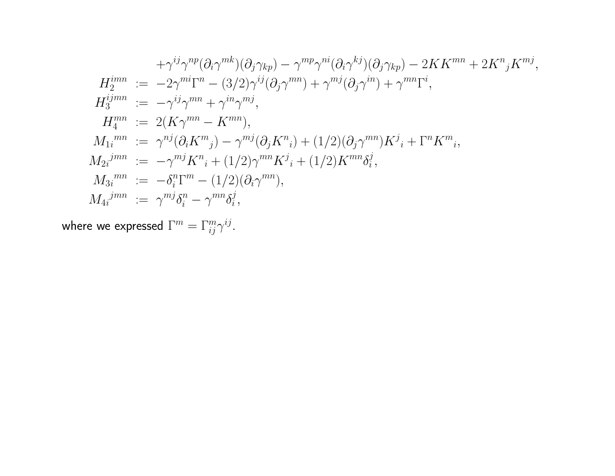$$
+\gamma^{ij}\gamma^{np}(\partial_i\gamma^{mk})(\partial_j\gamma_{kp}) - \gamma^{mp}\gamma^{ni}(\partial_i\gamma^{kj})(\partial_j\gamma_{kp}) - 2KK^{mn} + 2K^n{}_jK^{mj},
$$
  
\n
$$
H_2^{imm} := -2\gamma^{mi}\Gamma^n - (3/2)\gamma^{ij}(\partial_j\gamma^{mn}) + \gamma^{mj}(\partial_j\gamma^{in}) + \gamma^{mn}\Gamma^i,
$$
  
\n
$$
H_3^{imm} := 2(K\gamma^{mn} - K^{mn}),
$$
  
\n
$$
M_1^{mn} := \gamma^{nj}(\partial_i K^m{}_j) - \gamma^{mj}(\partial_j K^n{}_i) + (1/2)(\partial_j\gamma^{mn})K^j{}_i + \Gamma^n K^m{}_i,
$$
  
\n
$$
M_{2i}^{jmn} := -\gamma^{mj}K^n{}_i + (1/2)\gamma^{mn}K^j{}_i + (1/2)K^{mn}\delta_i^j,
$$
  
\n
$$
M_{3i}^{mn} := -\delta_i^n\Gamma^m - (1/2)(\partial_i\gamma^{mn}),
$$
  
\n
$$
M_{4i}^{jmn} := \gamma^{mj}\delta_i^n - \gamma^{mn}\delta_i^j,
$$

where we expressed  $\Gamma^m = \Gamma^m_{ij} \gamma^{ij}$ .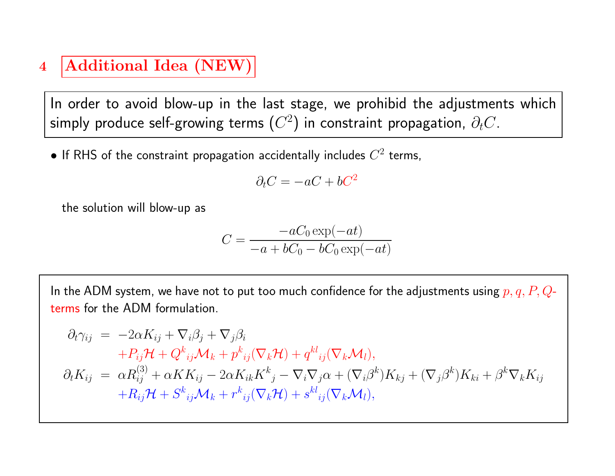# 4 | Additional Idea (NEW)

In order to avoid blow-up in the last stage, we prohibid the adjustments which simply produce self-growing terms  $(C^2)$  in constraint propagation,  $\partial_t C$ .

• If RHS of the constraint propagation accidentally includes  $C^2$  terms,

$$
\partial_t C = -aC + bC^2
$$

the solution will blow-up as

$$
C = \frac{-aC_0 \exp(-at)}{-a + bC_0 - bC_0 \exp(-at)}
$$

In the ADM system, we have not to put too much confidence for the adjustments using  $p, q, P, Q$ terms for the ADM formulation.

$$
\partial_t \gamma_{ij} = -2\alpha K_{ij} + \nabla_i \beta_j + \nabla_j \beta_i
$$
  
+
$$
P_{ij} \mathcal{H} + Q^k_{ij} \mathcal{M}_k + p^k_{ij} (\nabla_k \mathcal{H}) + q^{kl}_{ij} (\nabla_k \mathcal{M}_l),
$$
  

$$
\partial_t K_{ij} = \alpha R_{ij}^{(3)} + \alpha K K_{ij} - 2\alpha K_{ik} K^k_{j} - \nabla_i \nabla_j \alpha + (\nabla_i \beta^k) K_{kj} + (\nabla_j \beta^k) K_{ki} + \beta^k \nabla_k K_{ij}
$$
  
+
$$
R_{ij} \mathcal{H} + S^k_{ij} \mathcal{M}_k + r^k_{ij} (\nabla_k \mathcal{H}) + s^{kl}_{ij} (\nabla_k \mathcal{M}_l),
$$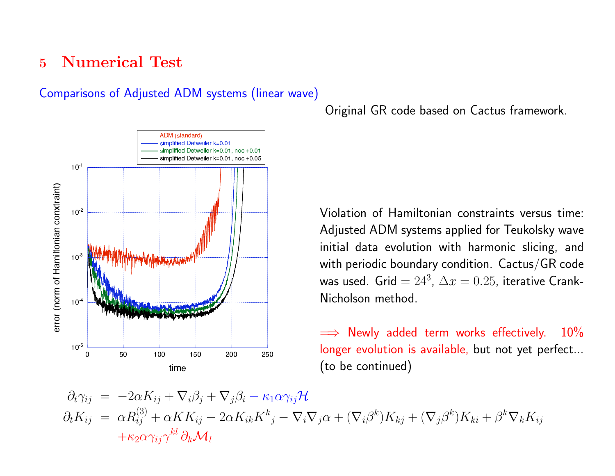### 5 Numerical Test

#### Comparisons of Adjusted ADM systems (linear wave)



Original GR code based on Cactus framework.

Violation of Hamiltonian constraints versus time: Adjusted ADM systems applied for Teukolsky wave initial data evolution with harmonic slicing, and with periodic boundary condition. Cactus/GR code was used. Grid =  $24^3$ ,  $\Delta x = 0.25$ , iterative Crank-Nicholson method.

 $\implies$  Newly added term works effectively. 10% longer evolution is available, but not yet perfect... (to be continued)

 $\partial_t \gamma_{ij} = -2\alpha K_{ij} + \nabla_i \beta_j + \nabla_j \beta_i - \kappa_1 \alpha \gamma_{ij} \mathcal{H}$  $\partial_t K_{ij} = \alpha R_{ij}^{(3)} + \alpha K K_{ij} - 2\alpha K_{ik} K^k{}_j - \nabla_i \nabla_j \alpha + (\nabla_i \beta^k) K_{kj} + (\nabla_j \beta^k) K_{ki} + \beta^k \nabla_k K_{ij}$  $+\kappa_2\alpha\gamma_{ij}\gamma^{kl}\partial_k\mathcal{M}_l$